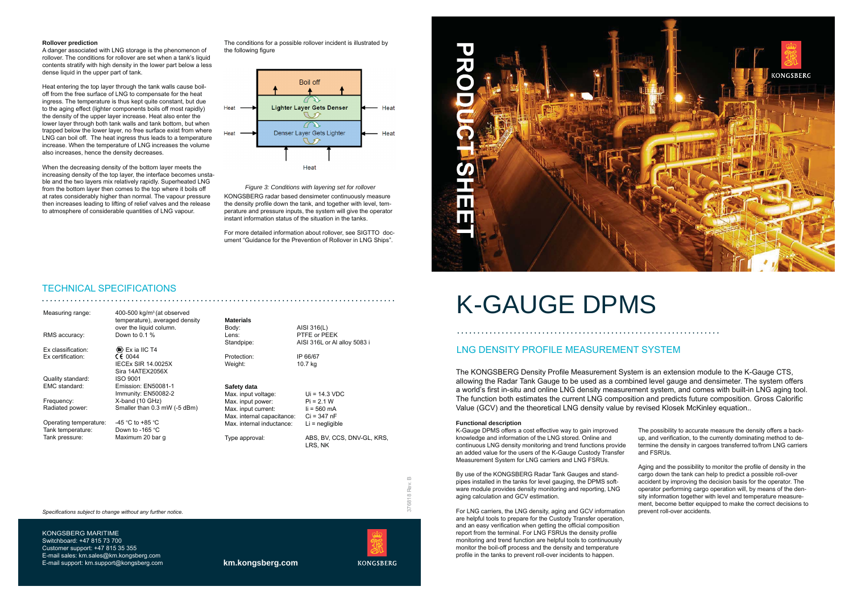## **Rollover prediction**

A danger associated with LNG storage is the phenomenon of rollover. The conditions for rollover are set when a tank's liquid contents stratify with high density in the lower part below a less dense liquid in the upper part of tank.

Heat entering the top layer through the tank walls cause boiloff from the free surface of LNG to compensate for the heat ingress. The temperature is thus kept quite constant, but due to the aging effect (lighter components boils off most rapidly) the density of the upper layer increase. Heat also enter the lower layer through both tank walls and tank bottom, but when trapped below the lower laver, no free surface exist from where LNG can boil off. The heat ingress thus leads to a temperature increase. When the temperature of LNG increases the volume also increases, hence the density decreases.

When the decreasing density of the bottom layer meets the increasing density of the top layer, the interface becomes unstable and the two layers mix relatively rapidly. Superheated LNG from the bottom layer then comes to the top where it boils off at rates considerably higher than normal. The vapour pressure then increases leading to lifting of relief valves and the release to atmosphere of considerable quantities of LNG vapour.

The conditions for a possible rollover incident is illustrated by the following figure



Figure 3: Conditions with layering set for rollover

KONGSBERG radar based densimeter continuously measure the density profile down the tank, and together with level, temperature and pressure inputs, the system will give the operator instant information status of the situation in the tanks.

For more detailed information about rollover, see SIGTTO document "Guidance for the Prevention of Rollover in LNG Ships".

# **TECHNICAL SPECIFICATIONS**

| Measuring range:       | 400-500 $kg/m3$ (at observed              |                            |                                       |
|------------------------|-------------------------------------------|----------------------------|---------------------------------------|
|                        | temperature), averaged density            | <b>Materials</b>           |                                       |
|                        | over the liquid column.                   | Body:                      | AISI 316(L)                           |
| RMS accuracy:          | Down to $0.1\%$                           | Lens:                      | PTFE or PEEK                          |
|                        |                                           | Standpipe:                 | AISI 316L or AI alloy 5083 i          |
| Ex classification:     | $\langle \mathbb{R} \rangle$ Ex ia IIC T4 |                            |                                       |
| Ex certification:      | CE 0044                                   | Protection:                | IP 66/67                              |
|                        | <b>IECEx SIR 14.0025X</b>                 | Weight:                    | 10.7 kg                               |
|                        | Sira 14ATEX2056X                          |                            |                                       |
| Quality standard:      | ISO 9001                                  |                            |                                       |
| EMC standard:          | Emission: EN50081-1                       | Safety data                |                                       |
|                        | Immunity: EN50082-2                       | Max. input voltage:        | $Ui = 14.3 VDC$                       |
| Frequency:             | X-band (10 GHz)                           | Max. input power:          | $Pi = 2.1 W$                          |
| Radiated power:        | Smaller than 0.3 mW (-5 dBm)              | Max. input current:        | $li = 560$ mA                         |
|                        |                                           | Max. internal capacitance: | $Ci = 347 nF$                         |
| Operating temperature: | -45 °C to +85 °C                          | Max. internal inductance:  | $Li =$ negligible                     |
| Tank temperature:      | Down to -165 $°C$                         |                            |                                       |
| Tank pressure:         | Maximum 20 bar g                          | Type approval:             | ABS, BV, CCS, DNV-GL, KRS,<br>LRS. NK |

Specifications subject to change without any further notice.

KONGSBERG MARITIME Switchboard: +47 815 73 700 Customer support: +47 815 35 355 E-mail sales: km.sales@km.kongsberg.com E-mail support: km.support@kongsberg.com



km.kongsberg.com



 $\overline{\mathbf{H}}$ 

# **K-GAUGE DPMS**

# **ING DENSITY PROFILE MEASUREMENT SYSTEM**

The KONGSBERG Density Profile Measurement System is an extension module to the K-Gauge CTS, allowing the Radar Tank Gauge to be used as a combined level gauge and densimeter. The system offers a world's first in-situ and online LNG density measurement system, and comes with built-in LNG aging tool. The function both estimates the current LNG composition and predicts future composition. Gross Calorific Value (GCV) and the theoretical LNG density value by revised Klosek McKinley equation..

### **Functional description**

K-Gauge DPMS offers a cost effective way to gain improved knowledge and information of the LNG stored. Online and continuous LNG density monitoring and trend functions provide an added value for the users of the K-Gauge Custody Transfer Measurement System for LNG carriers and LNG FSRUs.

By use of the KONGSBERG Radar Tank Gauges and standpipes installed in the tanks for level gauging, the DPMS software module provides density monitoring and reporting, LNG aging calculation and GCV estimation.

For LNG carriers, the LNG density, aging and GCV information are helpful tools to prepare for the Custody Transfer operation. and an easy verification when getting the official composition report from the terminal. For LNG FSRUs the density profile monitoring and trend function are helpful tools to continuously monitor the boil-off process and the density and temperature profile in the tanks to prevent roll-over incidents to happen.



# . . . . . . . . . . . . . .

The possibility to accurate measure the density offers a backup, and verification, to the currently dominating method to determine the density in cargoes transferred to/from LNG carriers and FSRUs.

Aging and the possibility to monitor the profile of density in the cargo down the tank can help to predict a possible roll-over accident by improving the decision basis for the operator. The operator performing cargo operation will, by means of the density information together with level and temperature measurement, become better equipped to make the correct decisions to prevent roll-over accidents